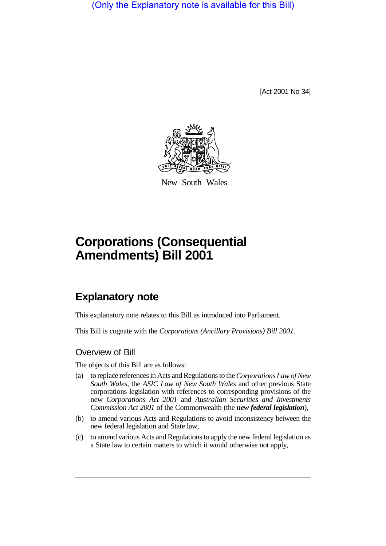(Only the Explanatory note is available for this Bill)

[Act 2001 No 34]



New South Wales

# **Corporations (Consequential Amendments) Bill 2001**

# **Explanatory note**

This explanatory note relates to this Bill as introduced into Parliament.

This Bill is cognate with the *Corporations (Ancillary Provisions) Bill 2001*.

## Overview of Bill

The objects of this Bill are as follows:

- (a) to replace references in Acts and Regulations to the *Corporations Law of New South Wales*, the *ASIC Law of New South Wales* and other previous State corporations legislation with references to corresponding provisions of the new *Corporations Act 2001* and *Australian Securities and Investments Commission Act 2001* of the Commonwealth (the *new federal legislation*),
- (b) to amend various Acts and Regulations to avoid inconsistency between the new federal legislation and State law,
- (c) to amend various Acts and Regulations to apply the new federal legislation as a State law to certain matters to which it would otherwise not apply,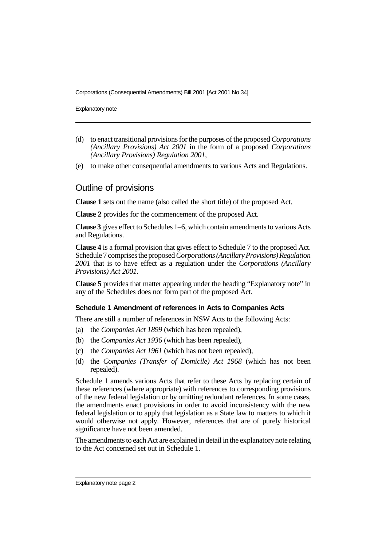Explanatory note

- (d) to enact transitional provisions for the purposes of the proposed *Corporations (Ancillary Provisions) Act 2001* in the form of a proposed *Corporations (Ancillary Provisions) Regulation 2001*,
- (e) to make other consequential amendments to various Acts and Regulations.

### Outline of provisions

**Clause 1** sets out the name (also called the short title) of the proposed Act.

**Clause 2** provides for the commencement of the proposed Act.

**Clause 3** gives effect to Schedules 1–6, which contain amendments to various Acts and Regulations.

**Clause 4** is a formal provision that gives effect to Schedule 7 to the proposed Act. Schedule 7 comprises the proposed *Corporations (Ancillary Provisions) Regulation 2001* that is to have effect as a regulation under the *Corporations (Ancillary Provisions) Act 2001*.

**Clause 5** provides that matter appearing under the heading "Explanatory note" in any of the Schedules does not form part of the proposed Act.

#### **Schedule 1 Amendment of references in Acts to Companies Acts**

There are still a number of references in NSW Acts to the following Acts:

- (a) the *Companies Act 1899* (which has been repealed),
- (b) the *Companies Act 1936* (which has been repealed),
- (c) the *Companies Act 1961* (which has not been repealed),
- (d) the *Companies (Transfer of Domicile) Act 1968* (which has not been repealed).

Schedule 1 amends various Acts that refer to these Acts by replacing certain of these references (where appropriate) with references to corresponding provisions of the new federal legislation or by omitting redundant references. In some cases, the amendments enact provisions in order to avoid inconsistency with the new federal legislation or to apply that legislation as a State law to matters to which it would otherwise not apply. However, references that are of purely historical significance have not been amended.

The amendments to each Act are explained in detail in the explanatory note relating to the Act concerned set out in Schedule 1.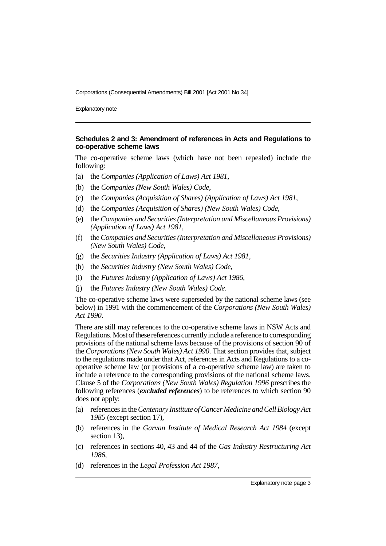Explanatory note

#### **Schedules 2 and 3: Amendment of references in Acts and Regulations to co-operative scheme laws**

The co-operative scheme laws (which have not been repealed) include the following:

- (a) the *Companies (Application of Laws) Act 1981*,
- (b) the *Companies (New South Wales) Code*,
- (c) the *Companies (Acquisition of Shares) (Application of Laws) Act 1981*,
- (d) the *Companies (Acquisition of Shares) (New South Wales) Code*,
- (e) the *Companies and Securities (Interpretation and Miscellaneous Provisions) (Application of Laws) Act 1981*,
- (f) the *Companies and Securities (Interpretation and Miscellaneous Provisions) (New South Wales) Code*,
- (g) the *Securities Industry (Application of Laws) Act 1981*,
- (h) the *Securities Industry (New South Wales) Code*,
- (i) the *Futures Industry (Application of Laws) Act 1986*,
- (j) the *Futures Industry (New South Wales) Code*.

The co-operative scheme laws were superseded by the national scheme laws (see below) in 1991 with the commencement of the *Corporations (New South Wales) Act 1990*.

There are still may references to the co-operative scheme laws in NSW Acts and Regulations. Most of these references currently include a reference to corresponding provisions of the national scheme laws because of the provisions of section 90 of the *Corporations (New South Wales) Act 1990*. That section provides that, subject to the regulations made under that Act, references in Acts and Regulations to a cooperative scheme law (or provisions of a co-operative scheme law) are taken to include a reference to the corresponding provisions of the national scheme laws. Clause 5 of the *Corporations (New South Wales) Regulation 1996* prescribes the following references (*excluded references*) to be references to which section 90 does not apply:

- (a) references in the *Centenary Institute of Cancer Medicine and Cell Biology Act 1985* (except section 17),
- (b) references in the *Garvan Institute of Medical Research Act 1984* (except section 13),
- (c) references in sections 40, 43 and 44 of the *Gas Industry Restructuring Act 1986*,
- (d) references in the *Legal Profession Act 1987*,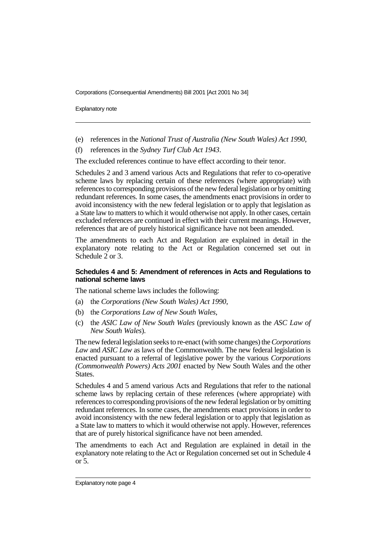Explanatory note

- (e) references in the *National Trust of Australia (New South Wales) Act 1990*,
- (f) references in the *Sydney Turf Club Act 1943*.

The excluded references continue to have effect according to their tenor.

Schedules 2 and 3 amend various Acts and Regulations that refer to co-operative scheme laws by replacing certain of these references (where appropriate) with references to corresponding provisions of the new federal legislation or by omitting redundant references. In some cases, the amendments enact provisions in order to avoid inconsistency with the new federal legislation or to apply that legislation as a State law to matters to which it would otherwise not apply. In other cases, certain excluded references are continued in effect with their current meanings. However, references that are of purely historical significance have not been amended.

The amendments to each Act and Regulation are explained in detail in the explanatory note relating to the Act or Regulation concerned set out in Schedule 2 or 3.

#### **Schedules 4 and 5: Amendment of references in Acts and Regulations to national scheme laws**

The national scheme laws includes the following:

- (a) the *Corporations (New South Wales) Act 1990*,
- (b) the *Corporations Law of New South Wales*,
- (c) the *ASIC Law of New South Wales* (previously known as the *ASC Law of New South Wales*).

The new federal legislation seeks to re-enact (with some changes) the *Corporations Law* and *ASIC Law* as laws of the Commonwealth. The new federal legislation is enacted pursuant to a referral of legislative power by the various *Corporations (Commonwealth Powers) Acts 2001* enacted by New South Wales and the other States.

Schedules 4 and 5 amend various Acts and Regulations that refer to the national scheme laws by replacing certain of these references (where appropriate) with references to corresponding provisions of the new federal legislation or by omitting redundant references. In some cases, the amendments enact provisions in order to avoid inconsistency with the new federal legislation or to apply that legislation as a State law to matters to which it would otherwise not apply. However, references that are of purely historical significance have not been amended.

The amendments to each Act and Regulation are explained in detail in the explanatory note relating to the Act or Regulation concerned set out in Schedule 4 or 5.